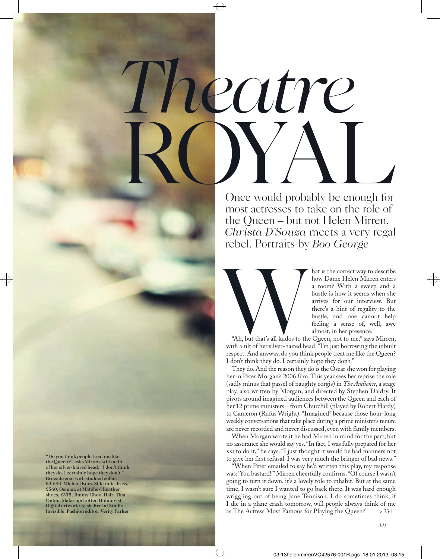## ROYAL Once would probably be enough for *Theatre*

Once would probably be enough for most actresses to take on the role of the Queen – but not Helen Mirren. *Christa D'Souza* meets a very regal rebel. Portraits by *Boo George*

how Dame Helen Mirren enters<br>a room? With a sweep and a<br>bustle is how it seems when she<br>arrives for our interview. But<br>there's a hint of regality to the<br>bustle, and one cannot help<br>feeling a sense of, well, awe<br>almost, in how Dame Helen Mirren enters a room? With a sweep and a bustle is how it seems when she arrives for our interview. But there's a hint of regality to the bustle, and one cannot help feeling a sense of, well, awe almost, in her presence.

"Ah, but that's all kudos to the Queen, not to me," says Mirren, with a tilt of her silver-haired head. "I'm just borrowing the inbuilt respect. And anyway, do you think people treat me like the Queen? I don't think they do. I certainly hope they don't."

They do. And the reason they do is the Oscar she won for playing her in Peter Morgan's 2006 film. This year sees her reprise the role (sadly minus that passel of naughty corgis) in *The Audience*, a stage play, also written by Morgan, and directed by Stephen Daldry. It pivots around imagined audiences between the Queen and each of her 12 prime ministers – from Churchill (played by Robert Hardy) to Cameron (Rufus Wright). "Imagined" because those hour-long weekly conversations that take place during a prime minister's tenure are never recorded and never discussed, even with family members.

When Morgan wrote it he had Mirren in mind for the part, but no assurance she would say yes. "In fact, I was fully prepared for her *not* to do it," he says. "I just thought it would be bad manners not to give her first refusal. I was very much the bringer of bad news."

"When Peter emailed to say he'd written this play, my response was: 'You bastard!'" Mirren cheerfully confirms. "Of course I wasn't going to turn it down, it's a lovely role to inhabit. But at the same time, I wasn't sure I wanted to go back there. It was hard enough wriggling out of being Jane Tennison. I do sometimes think, if I die in a plane crash tomorrow, will people always think of me as The Actress Most Famous for Playing the Queen?" > 334

"Do you think people treat me like the Queen?" asks Mirren, with a tilt of her silver-haired head. "I don't think they do. I certainly hope they don't." Brocade coat with studded collar, £3,690, Michael Kors. Silk tunic dress, £560, Osman, at Matches. Leather shoes, £375, Jimmy Choo. Hair: Tina Outen. Make-up: Lotten Holmqvist. Digital artwork: Kasia Kret at Studio Invisible. **Fashion editor: Verity Parker**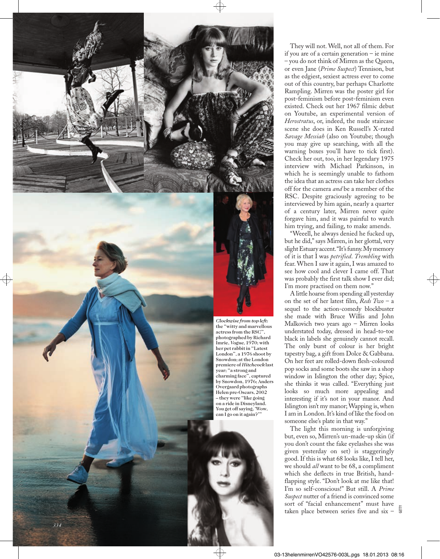

They will not. Well, not all of them. For if you are of a certain generation – ie mine – you do not think of Mirren as the Queen, or even Jane (*Prime Suspect*) Tennison, but as the edgiest, sexiest actress ever to come out of this country, bar perhaps Charlotte Rampling. Mirren was the poster girl for post-feminism before post-feminism even existed. Check out her 1967 filmic debut on Youtube, an experimental version of *Herostratus*, or, indeed, the nude staircase scene she does in Ken Russell's X-rated *Savage Messiah* (also on Youtube; though you may give up searching, with all the warning boxes you'll have to tick first). Check her out, too, in her legendary 1975 interview with Michael Parkinson, in which he is seemingly unable to fathom the idea that an actress can take her clothes off for the camera *and* be a member of the RSC. Despite graciously agreeing to be interviewed by him again, nearly a quarter of a century later, Mirren never quite forgave him, and it was painful to watch him trying, and failing, to make amends.

"Weeell, he always denied he fucked up, but he did," says Mirren, in her glottal, very slight Estuary accent. "It's funny. My memory of it is that I was *petrified*. *Trembling* with fear. When I saw it again, I was amazed to see how cool and clever I came off. That was probably the first talk show I ever did; I'm more practised on them now."

A little hoarse from spending all yesterday on the set of her latest film, *Reds Two* – a sequel to the action-comedy blockbuster she made with Bruce Willis and John Malkovich two years ago – Mirren looks understated today, dressed in head-to-toe black in labels she genuinely cannot recall. The only burst of colour is her bright tapestry bag, a gift from Dolce & Gabbana. On her feet are rolled-down flesh-coloured pop socks and some boots she saw in a shop window in Islington the other day; Spice, she thinks it was called. "Everything just looks so much more appealing and interesting if it's not in your manor. And Islington isn't my manor; Wapping is, when I am in London. It's kind of like the food on someone else's plate in that way."

The light this morning is unforgiving but, even so, Mirren's un-made-up skin (if you don't count the fake eyelashes she was given yesterday on set) is staggeringly good. If this is what 68 looks like, I tell her, we should *all* want to be 68, a compliment which she deflects in true British, handflapping style. "Don't look at me like that! I'm so self-conscious!" But still. A *Prime Suspect* nutter of a friend is convinced some sort of "facial enhancement" must have taken place between series five and six –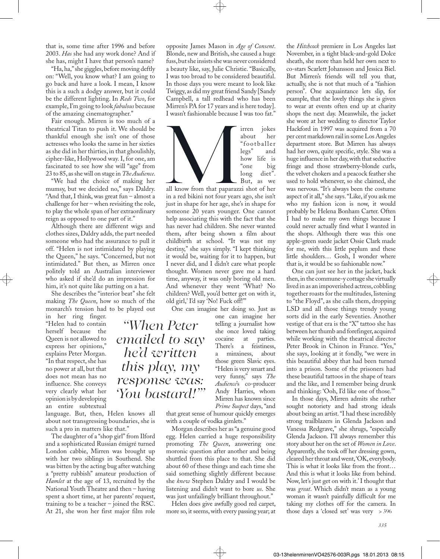that is, some time after 1996 and before 2003. *Has* she had any work done? And if she has, might I have that person's name?

"Ha, ha," she giggles, before moving deftly on: "Well, you know what? I am going to go back and have a look. I mean, I know this is a such a dodgy answer, but it could be the different lighting. In *Reds Two*, for example, I'm going to look *fabulous* because of the amazing cinematographer."

Fair enough. Mirren is too much of a theatrical Titan to push it. We should be thankful enough she isn't one of those actresses who looks the same in her sixties as she did in her thirties, in that ghoulishly, cipher-like, Hollywood way. I, for one, am fascinated to see how she will "age" from 23 to 85, as she will on stage in *The Audience*.

"We had the choice of making her mumsy, but we decided no," says Daldry. "And that, I think, was great fun – almost a challenge for her – when revisiting the role, to play the whole span of her extraordinary reign as opposed to one part of it."

Although there are different wigs and clothes sizes, Daldry adds, the part needed someone who had the assurance to pull it off. "Helen is not intimidated by playing the Queen," he says. "Concerned, but not intimidated." But then, as Mirren once politely told an Australian interviewer who asked if she'd do an impression for him, it's not quite like putting on a hat.

She describes the "interior beat" she felt making *The Queen*, how so much of the monarch's tension had to be played out

in her ring finger. "Helen had to contain herself because the Queen is not allowed to express her opinions," explains Peter Morgan. "In that respect, she has no power at all, but that does not mean has no influence. She conveys very clearly what her opinion is by developing an entire subtextual

language. But, then, Helen knows all about not transgressing boundaries, she is such a pro in matters like that."

The daughter of a "shop girl" from Ilford and a sophisticated Russian émigré turned London cabbie, Mirren was brought up with her two siblings in Southend. She was bitten by the acting bug after watching a "pretty rubbish" amateur production of *Hamlet* at the age of 13, recruited by the National Youth Theatre and then – having spent a short time, at her parents' request, training to be a teacher – joined the RSC. At 21, she won her first major film role

opposite James Mason in *Age of Consent*. Blonde, new and British, she caused a huge fuss, but she insists she was never considered a beauty like, say, Julie Christie. "Basically, I was too broad to be considered beautiful. In those days you were meant to look like Twiggy, as did my great friend Sandy [Sandy Campbell, a tall redhead who has been Mirren's PA for 17 years and is here today]. I wasn't fashionable because I was too fat."

all know from that paparazz in a red bikini not four years irren jokes about "footballer<br>legs" and legs" how life is "one big<br>long diet". diet". But, as we

all know from that paparazzi shot of her in a red bikini not four years ago, she isn't just in shape for her age, she's in shape for someone 20 years younger. One cannot help associating this with the fact that she has never had children. She never wanted them, after being shown a film about childbirth at school. "It was not my destiny," she says simply. "I kept thinking it would be, waiting for it to happen, but I never did, and I didn't care what people thought. Women never gave me a hard time, anyway, it was only boring old men. And whenever they went 'What? No children? Well, you'd better get on with it, old girl,' I'd say 'No! Fuck off!'"

One can imagine her doing so. Just as

*"When Peter emailed to say he'd written this play, my response was: 'You bastard!'"*  one can imagine her telling a journalist how she once loved taking cocaine at parties. There's a feistiness, a minxiness, about those green Slavic eyes. "Helen is very smart and very funny," says *The Audience*'s co-producer Andy Harries, whom Mirren has known since *Prime Suspect* days, "and

that great sense of humour quickly emerges with a couple of vodka gimlets."

Morgan describes her as "a genuine good egg. Helen carried a huge responsibility promoting *The Queen*, answering one moronic question after another and being shuttled from this place to that. She did about 60 of these things and each time she said something slightly different because she *knew* Stephen Daldry and I would be listening and didn't want to bore *us*. She was just unfailingly brilliant throughout."

Helen does give awfully good red carpet, more so, it seems, with every passing year; at the *Hitchcock* premiere in Los Angeles last November, in a tight black-and-gold Dolce sheath, she more than held her own next to co-stars Scarlett Johansson and Jessica Biel. But Mirren's friends will tell you that, actually, she is not that much of a "fashion person". One acquaintance lets slip, for example, that the lovely things she is given to wear at events often end up at charity shops the next day. Meanwhile, the jacket she wore at her wedding to director Taylor Hackford in 1997 was acquired from a 70 per cent markdown rail in some Los Angeles department store. But Mirren has always had her own, quite specific, style. She was a huge influence in her day, with that seductive fringe and those strawberry-blonde curls, the velvet chokers and a peacock feather she used to hold whenever, so she claimed, she was nervous. "It's always been the costume aspect of it all," she says. "Like, if you ask me who my fashion icon is now, it would probably be Helena Bonham Carter. Often I had to make my own things because I could never actually find what I wanted in the shops. Although there was this one apple-green suede jacket Ossie Clark made for me, with this little peplum and these little shoulders… Gosh, I wonder where that is, it would be so fashionable now."

One can just see her in the jacket, back then, in the commune-y cottage she virtually lived in as an impoverished actress, cobbling together roasts for the multitudes, listening to "the Floyd", as she calls them, dropping LSD and all those things trendy young sorts did in the early Seventies. Another vestige of that era is the "X" tattoo she has between her thumb and forefinger, acquired while working with the theatrical director Peter Brook in Chinon in France. "Yes," she says, looking at it fondly, "we were in this beautiful abbey that had been turned into a prison. Some of the prisoners had these beautiful tattoos in the shape of tears and the like, and I remember being drunk and thinking: 'Ooh, I'd like one of those.'"

In those days, Mirren admits she rather sought notoriety and had strong ideals about being an artist. "I had these incredibly strong trailblazers in Glenda Jackson and Vanessa Redgrave," she shrugs, "especially Glenda Jackson. I'll always remember this story about her on the set of *Women in Love*. Apparently, she took off her dressing gown, cleared her throat and went, 'OK, everybody. This is what it looks like from the front… And this is what it looks like from behind. Now, let's just get on with it.' I thought that was *great*. Which didn't mean as a young woman it wasn't painfully difficult for me taking my clothes off for the camera. In those days a 'closed set' was very > 396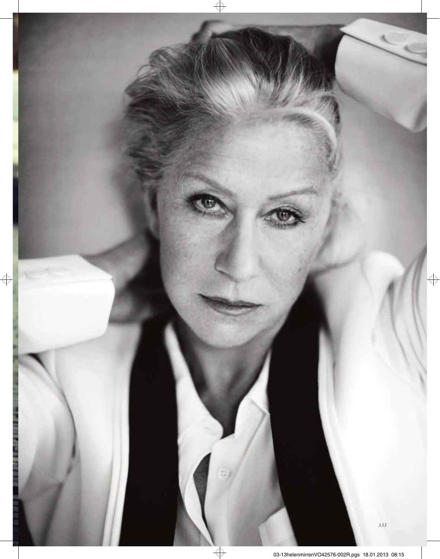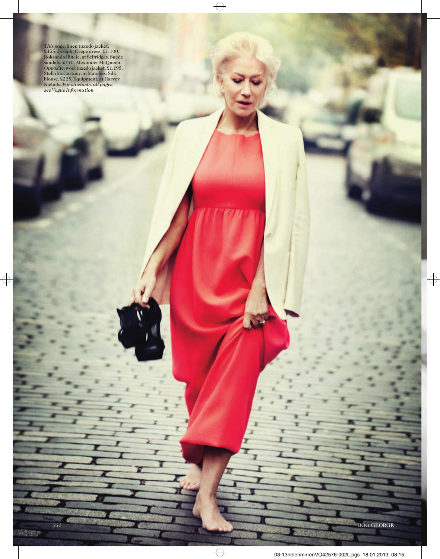*This page*: linen tuxedo jacket, £455, Joseph. Crêpe dress, £1,100, Roksanda Ilincic, at Selfridges. Suede sandals, £470, Alexander McQueen. *Opposite*: wool tuxedo jacket, £1,195, Stella McCartney, at Matches. Silk blouse, £225, Equipment, at Harvey Nichols. *For stockists, all pages, see Vogue Information*

**BOOTS**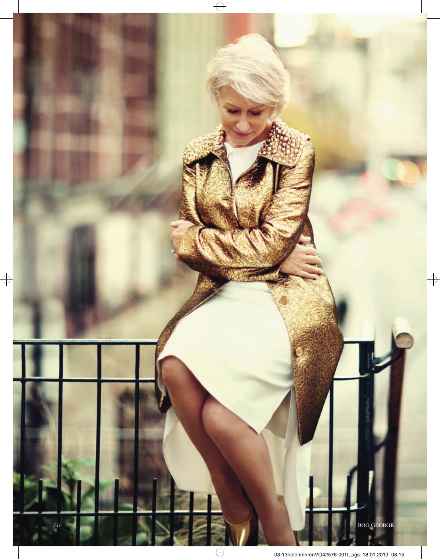